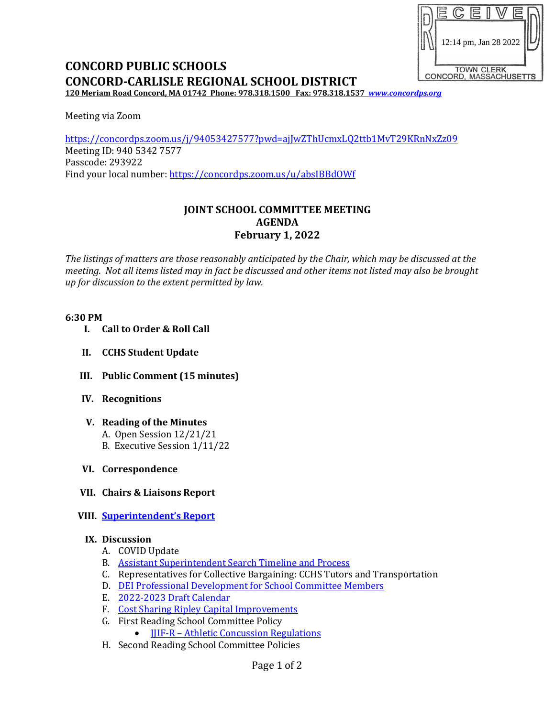

# **CONCORD PUBLIC SCHOOLS CONCORD-CARLISLE REGIONAL SCHOOL DISTRICT**

**120 Meriam Road Concord, MA 01742 Phone: 978.318.1500 Fax: 978.318.1537** *[www.concordps.org](http://www.concordps.org/)*

Meeting via Zoom

<https://concordps.zoom.us/j/94053427577?pwd=ajJwZThUcmxLQ2ttb1MvT29KRnNxZz09> Meeting ID: 940 5342 7577 Passcode: 293922 Find your local number:<https://concordps.zoom.us/u/absIBBdOWf>

# **JOINT SCHOOL COMMITTEE MEETING AGENDA February 1, 2022**

*The listings of matters are those reasonably anticipated by the Chair, which may be discussed at the meeting. Not all items listed may in fact be discussed and other items not listed may also be brought up for discussion to the extent permitted by law.*

#### **6:30 PM**

- **I. Call to Order & Roll Call**
- **II. CCHS Student Update**
- **III. Public Comment (15 minutes)**
- **IV. Recognitions**
- **V. Reading of the Minutes** A. Open Session 12/21/21 B. Executive Session 1/11/22
- **VI. Correspondence**
- **VII. Chairs & Liaisons Report**
- **VIII. [Superintendent's Report](https://www.concordps.org/wp-content/uploads/2022/01/School-Committee-Report-1.28.22.pdf)**

### **IX. Discussion**

- A. COVID Update
- B. [Assistant Superintendent Search Timeline and Process](https://www.concordps.org/wp-content/uploads/2022/01/DRAFT-Timeline-Committee-Assistant-Superintendent-of-Finance-and-Operations-for-posting.pdf)
- C. Representatives for Collective Bargaining: CCHS Tutors and Transportation
- D. [DEI Professional Development for School Committee Members](https://www.concordps.org/wp-content/uploads/2022/01/Proposal-for-Concord-School-Committee-Workshops-1.pdf)
- E. [2022-2023 Draft Calendar](https://www.concordps.org/wp-content/uploads/2022/01/CPS-CCRSD-2022-2023-School-Calendar.pdf)
- F. [Cost Sharing Ripley Capital Improvements](https://www.concordps.org/wp-content/uploads/2022/01/Combined-Capital.pdf)
- G. First Reading School Committee Policy
	- **IIIF-R** [Athletic Concussion Regulations](https://www.concordps.org/wp-content/uploads/2022/01/JJIF-R-2015-Discussion-1.pdf)
- H. Second Reading School Committee Policies